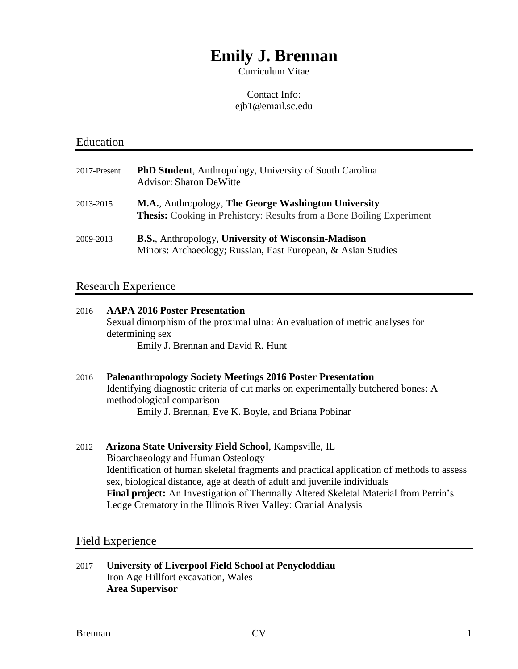# **Emily J. Brennan**

Curriculum Vitae

### Contact Info: ejb1@email.sc.edu

## Education

| 2017-Present | <b>PhD Student</b> , Anthropology, University of South Carolina<br><b>Advisor: Sharon DeWitte</b>                                    |
|--------------|--------------------------------------------------------------------------------------------------------------------------------------|
| 2013-2015    | M.A., Anthropology, The George Washington University<br><b>Thesis:</b> Cooking in Prehistory: Results from a Bone Boiling Experiment |
| 2009-2013    | <b>B.S., Anthropology, University of Wisconsin-Madison</b><br>Minors: Archaeology; Russian, East European, & Asian Studies           |

# Research Experience

| 2016 | <b>AAPA 2016 Poster Presentation</b><br>Sexual dimorphism of the proximal ulna: An evaluation of metric analyses for<br>determining sex<br>Emily J. Brennan and David R. Hunt                                                              |
|------|--------------------------------------------------------------------------------------------------------------------------------------------------------------------------------------------------------------------------------------------|
| 2016 | <b>Paleoanthropology Society Meetings 2016 Poster Presentation</b><br>Identifying diagnostic criteria of cut marks on experimentally butchered bones: A<br>methodological comparison<br>Emily J. Brennan, Eve K. Boyle, and Briana Pobinar |
| 2012 | <b>Arizona State University Field School, Kampsville, IL</b><br>Bioarchaeology and Human Osteology<br>Identification of human skeletal fragments and practical application of methods to assess                                            |

sex, biological distance, age at death of adult and juvenile individuals **Final project:** An Investigation of Thermally Altered Skeletal Material from Perrin's Ledge Crematory in the Illinois River Valley: Cranial Analysis

### Field Experience

2017 **University of Liverpool Field School at Penycloddiau** Iron Age Hillfort excavation, Wales **Area Supervisor**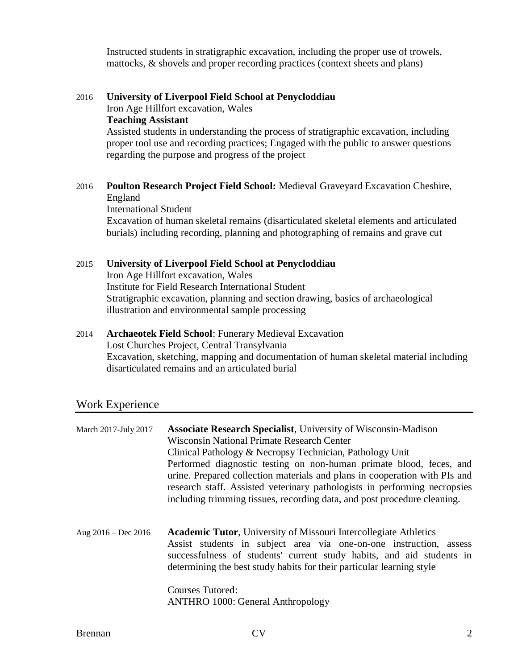Instructed students in stratigraphic excavation, including the proper use of trowels, mattocks, & shovels and proper recording practices (context sheets and plans)

2016 **University of Liverpool Field School at Penycloddiau** Iron Age Hillfort excavation, Wales **Teaching Assistant** Assisted students in understanding the process of stratigraphic excavation, including proper tool use and recording practices; Engaged with the public to answer questions

regarding the purpose and progress of the project

### 2016 **Poulton Research Project Field School:** Medieval Graveyard Excavation Cheshire, England

International Student

Excavation of human skeletal remains (disarticulated skeletal elements and articulated burials) including recording, planning and photographing of remains and grave cut

#### 2015 **University of Liverpool Field School at Penycloddiau** Iron Age Hillfort excavation, Wales

Institute for Field Research International Student Stratigraphic excavation, planning and section drawing, basics of archaeological illustration and environmental sample processing

### 2014 **Archaeotek Field School**: Funerary Medieval Excavation

Lost Churches Project, Central Transylvania Excavation, sketching, mapping and documentation of human skeletal material including disarticulated remains and an articulated burial

## Work Experience

| <b>Associate Research Specialist</b> , University of Wisconsin-Madison                                                                                                                                                                                                                                     |
|------------------------------------------------------------------------------------------------------------------------------------------------------------------------------------------------------------------------------------------------------------------------------------------------------------|
| <b>Wisconsin National Primate Research Center</b>                                                                                                                                                                                                                                                          |
| Clinical Pathology & Necropsy Technician, Pathology Unit                                                                                                                                                                                                                                                   |
| Performed diagnostic testing on non-human primate blood, feces, and<br>urine. Prepared collection materials and plans in cooperation with PIs and<br>research staff. Assisted veterinary pathologists in performing necropsies<br>including trimming tissues, recording data, and post procedure cleaning. |
| <b>Academic Tutor, University of Missouri Intercollegiate Athletics</b><br>Assist students in subject area via one-on-one instruction, assess<br>successfulness of students' current study habits, and aid students in<br>determining the best study habits for their particular learning style            |
| <b>Courses Tutored:</b><br><b>ANTHRO</b> 1000: General Anthropology                                                                                                                                                                                                                                        |
|                                                                                                                                                                                                                                                                                                            |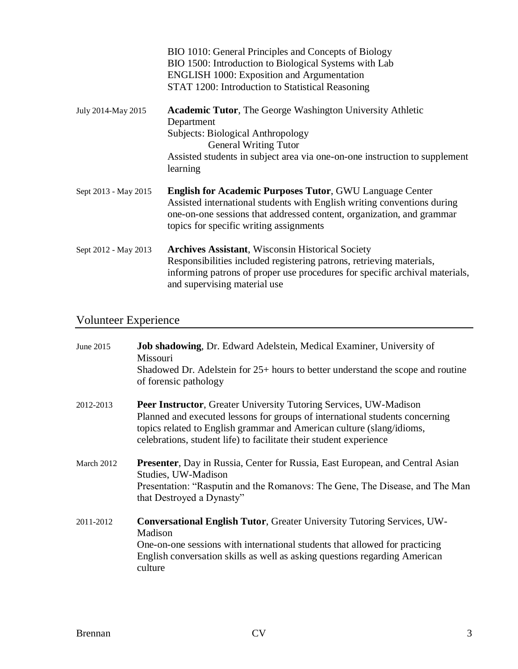|                      | BIO 1010: General Principles and Concepts of Biology<br>BIO 1500: Introduction to Biological Systems with Lab<br><b>ENGLISH 1000: Exposition and Argumentation</b><br>STAT 1200: Introduction to Statistical Reasoning                                         |
|----------------------|----------------------------------------------------------------------------------------------------------------------------------------------------------------------------------------------------------------------------------------------------------------|
| July 2014-May 2015   | <b>Academic Tutor</b> , The George Washington University Athletic<br>Department<br>Subjects: Biological Anthropology<br><b>General Writing Tutor</b><br>Assisted students in subject area via one-on-one instruction to supplement<br>learning                 |
| Sept 2013 - May 2015 | <b>English for Academic Purposes Tutor, GWU Language Center</b><br>Assisted international students with English writing conventions during<br>one-on-one sessions that addressed content, organization, and grammar<br>topics for specific writing assignments |
| Sept 2012 - May 2013 | <b>Archives Assistant, Wisconsin Historical Society</b><br>Responsibilities included registering patrons, retrieving materials,<br>informing patrons of proper use procedures for specific archival materials,<br>and supervising material use                 |

# Volunteer Experience

| June 2015  | Job shadowing, Dr. Edward Adelstein, Medical Examiner, University of<br>Missouri<br>Shadowed Dr. Adelstein for 25+ hours to better understand the scope and routine<br>of forensic pathology                                                                                                            |
|------------|---------------------------------------------------------------------------------------------------------------------------------------------------------------------------------------------------------------------------------------------------------------------------------------------------------|
| 2012-2013  | <b>Peer Instructor, Greater University Tutoring Services, UW-Madison</b><br>Planned and executed lessons for groups of international students concerning<br>topics related to English grammar and American culture (slang/idioms,<br>celebrations, student life) to facilitate their student experience |
| March 2012 | <b>Presenter</b> , Day in Russia, Center for Russia, East European, and Central Asian<br>Studies, UW-Madison<br>Presentation: "Rasputin and the Romanovs: The Gene, The Disease, and The Man<br>that Destroyed a Dynasty"                                                                               |
| 2011-2012  | <b>Conversational English Tutor, Greater University Tutoring Services, UW-</b><br>Madison<br>One-on-one sessions with international students that allowed for practicing<br>English conversation skills as well as asking questions regarding American<br>culture                                       |